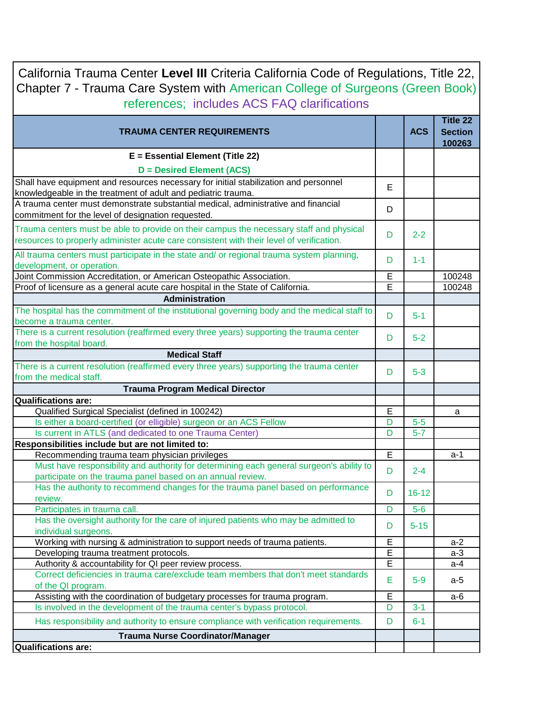| California Trauma Center Level III Criteria California Code of Regulations, Title 22,<br>Chapter 7 - Trauma Care System with American College of Surgeons (Green Book)<br>references; includes ACS FAQ clarifications |   |            |                                      |
|-----------------------------------------------------------------------------------------------------------------------------------------------------------------------------------------------------------------------|---|------------|--------------------------------------|
| <b>TRAUMA CENTER REQUIREMENTS</b>                                                                                                                                                                                     |   | <b>ACS</b> | Title 22<br><b>Section</b><br>100263 |
| E = Essential Element (Title 22)                                                                                                                                                                                      |   |            |                                      |
| <b>D</b> = Desired Element (ACS)                                                                                                                                                                                      |   |            |                                      |
| Shall have equipment and resources necessary for initial stabilization and personnel                                                                                                                                  | Е |            |                                      |
| knowledgeable in the treatment of adult and pediatric trauma.                                                                                                                                                         |   |            |                                      |
| A trauma center must demonstrate substantial medical, administrative and financial                                                                                                                                    | D |            |                                      |
| commitment for the level of designation requested.                                                                                                                                                                    |   |            |                                      |
| Trauma centers must be able to provide on their campus the necessary staff and physical<br>resources to properly administer acute care consistent with their level of verification.                                   | D | $2 - 2$    |                                      |
| All trauma centers must participate in the state and/ or regional trauma system planning,                                                                                                                             | D | $1 - 1$    |                                      |
| development, or operation.                                                                                                                                                                                            |   |            |                                      |
| Joint Commission Accreditation, or American Osteopathic Association.                                                                                                                                                  | E |            | 100248                               |
| Proof of licensure as a general acute care hospital in the State of California.                                                                                                                                       | E |            | 100248                               |
| Administration                                                                                                                                                                                                        |   |            |                                      |
| The hospital has the commitment of the institutional governing body and the medical staff to                                                                                                                          | D | $5 - 1$    |                                      |
| become a trauma center.                                                                                                                                                                                               |   |            |                                      |
| There is a current resolution (reaffirmed every three years) supporting the trauma center                                                                                                                             | D | $5-2$      |                                      |
| from the hospital board.                                                                                                                                                                                              |   |            |                                      |
| <b>Medical Staff</b>                                                                                                                                                                                                  |   |            |                                      |
| There is a current resolution (reaffirmed every three years) supporting the trauma center<br>from the medical staff.                                                                                                  | D | $5 - 3$    |                                      |
| <b>Trauma Program Medical Director</b>                                                                                                                                                                                |   |            |                                      |
| <b>Qualifications are:</b>                                                                                                                                                                                            |   |            |                                      |
| Qualified Surgical Specialist (defined in 100242)                                                                                                                                                                     | E |            | a                                    |
| Is either a board-certified (or elligible) surgeon or an ACS Fellow                                                                                                                                                   | D | $5-5$      |                                      |
| Is current in ATLS (and dedicated to one Trauma Center)                                                                                                                                                               | D | $5 - 7$    |                                      |
| Responsibilities include but are not limited to:<br>Recommending trauma team physician privileges                                                                                                                     | E |            | a-1                                  |
| Must have responsibility and authority for determining each general surgeon's ability to                                                                                                                              |   |            |                                      |
| participate on the trauma panel based on an annual review.                                                                                                                                                            | D | $2 - 4$    |                                      |
| Has the authority to recommend changes for the trauma panel based on performance                                                                                                                                      | D | $16 - 12$  |                                      |
| review.                                                                                                                                                                                                               |   |            |                                      |
| Participates in trauma call.                                                                                                                                                                                          | D | $5-6$      |                                      |
| Has the oversight authority for the care of injured patients who may be admitted to                                                                                                                                   | D | $5 - 15$   |                                      |
| individual surgeons.<br>Working with nursing & administration to support needs of trauma patients.                                                                                                                    | E |            | $a-2$                                |
| Developing trauma treatment protocols.                                                                                                                                                                                | E |            | $a-3$                                |
| Authority & accountability for QI peer review process.                                                                                                                                                                | Ē |            | $a-4$                                |
| Correct deficiencies in trauma care/exclude team members that don't meet standards                                                                                                                                    |   |            |                                      |
| of the QI program.                                                                                                                                                                                                    | E | $5-9$      | a-5                                  |
| Assisting with the coordination of budgetary processes for trauma program.                                                                                                                                            | E |            | a-6                                  |
| Is involved in the development of the trauma center's bypass protocol.                                                                                                                                                | D | $3 - 1$    |                                      |
| Has responsibility and authority to ensure compliance with verification requirements.                                                                                                                                 | D | $6 - 1$    |                                      |
| <b>Trauma Nurse Coordinator/Manager</b>                                                                                                                                                                               |   |            |                                      |
| <b>Qualifications are:</b>                                                                                                                                                                                            |   |            |                                      |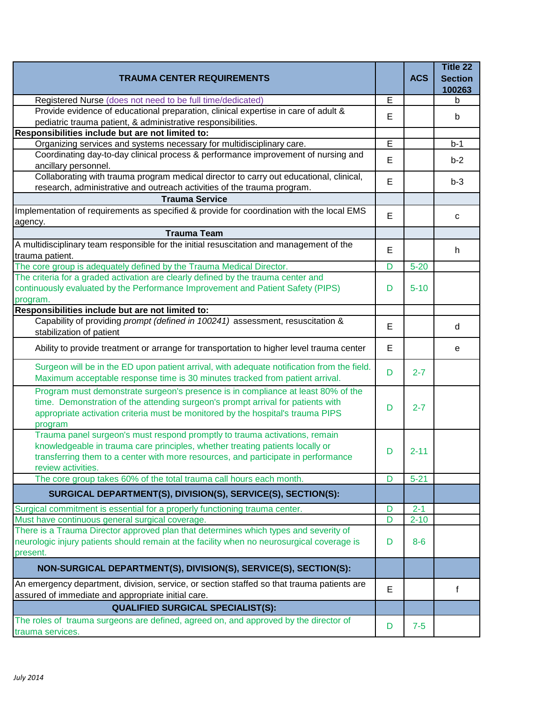| <b>TRAUMA CENTER REQUIREMENTS</b>                                                                                                                                                                                                                                      |   | <b>ACS</b> | Title 22<br><b>Section</b><br>100263 |
|------------------------------------------------------------------------------------------------------------------------------------------------------------------------------------------------------------------------------------------------------------------------|---|------------|--------------------------------------|
| Registered Nurse (does not need to be full time/dedicated)                                                                                                                                                                                                             | E |            | b                                    |
| Provide evidence of educational preparation, clinical expertise in care of adult &                                                                                                                                                                                     | E |            | b                                    |
| pediatric trauma patient, & administrative responsibilities.                                                                                                                                                                                                           |   |            |                                      |
| Responsibilities include but are not limited to:                                                                                                                                                                                                                       |   |            |                                      |
| Organizing services and systems necessary for multidisciplinary care.<br>Coordinating day-to-day clinical process & performance improvement of nursing and                                                                                                             | E |            | $b-1$                                |
| ancillary personnel.                                                                                                                                                                                                                                                   | E |            | $b-2$                                |
| Collaborating with trauma program medical director to carry out educational, clinical,                                                                                                                                                                                 |   |            |                                      |
| research, administrative and outreach activities of the trauma program.                                                                                                                                                                                                | E |            | $b-3$                                |
| <b>Trauma Service</b>                                                                                                                                                                                                                                                  |   |            |                                      |
| Implementation of requirements as specified & provide for coordination with the local EMS                                                                                                                                                                              |   |            |                                      |
| agency.                                                                                                                                                                                                                                                                | E |            | C                                    |
| <b>Trauma Team</b>                                                                                                                                                                                                                                                     |   |            |                                      |
| A multidisciplinary team responsible for the initial resuscitation and management of the                                                                                                                                                                               |   |            |                                      |
| trauma patient.                                                                                                                                                                                                                                                        | Е |            | h                                    |
| The core group is adequately defined by the Trauma Medical Director.                                                                                                                                                                                                   | D | $5 - 20$   |                                      |
| The criteria for a graded activation are clearly defined by the trauma center and                                                                                                                                                                                      |   |            |                                      |
| continuously evaluated by the Performance Improvement and Patient Safety (PIPS)                                                                                                                                                                                        | D | $5 - 10$   |                                      |
| program.                                                                                                                                                                                                                                                               |   |            |                                      |
| Responsibilities include but are not limited to:                                                                                                                                                                                                                       |   |            |                                      |
| Capability of providing prompt (defined in 100241) assessment, resuscitation &<br>stabilization of patient                                                                                                                                                             | E |            | d                                    |
| Ability to provide treatment or arrange for transportation to higher level trauma center                                                                                                                                                                               | E |            | е                                    |
| Surgeon will be in the ED upon patient arrival, with adequate notification from the field.<br>Maximum acceptable response time is 30 minutes tracked from patient arrival.                                                                                             | D | $2 - 7$    |                                      |
| Program must demonstrate surgeon's presence is in compliance at least 80% of the<br>time. Demonstration of the attending surgeon's prompt arrival for patients with<br>appropriate activation criteria must be monitored by the hospital's trauma PIPS<br>program      | D | $2 - 7$    |                                      |
| Trauma panel surgeon's must respond promptly to trauma activations, remain<br>knowledgeable in trauma care principles, whether treating patients locally or<br>transferring them to a center with more resources, and participate in performance<br>review activities. | D | $2 - 11$   |                                      |
| The core group takes 60% of the total trauma call hours each month.                                                                                                                                                                                                    | D | $5 - 21$   |                                      |
| SURGICAL DEPARTMENT(S), DIVISION(S), SERVICE(S), SECTION(S):                                                                                                                                                                                                           |   |            |                                      |
| Surgical commitment is essential for a properly functioning trauma center.                                                                                                                                                                                             | D | $2 - 1$    |                                      |
| Must have continuous general surgical coverage.                                                                                                                                                                                                                        | D | $2 - 10$   |                                      |
| There is a Trauma Director approved plan that determines which types and severity of                                                                                                                                                                                   |   |            |                                      |
| neurologic injury patients should remain at the facility when no neurosurgical coverage is                                                                                                                                                                             | D | $8 - 6$    |                                      |
| present.                                                                                                                                                                                                                                                               |   |            |                                      |
| NON-SURGICAL DEPARTMENT(S), DIVISION(S), SERVICE(S), SECTION(S):<br>An emergency department, division, service, or section staffed so that trauma patients are                                                                                                         |   |            |                                      |
| assured of immediate and appropriate initial care.                                                                                                                                                                                                                     | Е |            | f                                    |
| <b>QUALIFIED SURGICAL SPECIALIST(S):</b>                                                                                                                                                                                                                               |   |            |                                      |
| The roles of trauma surgeons are defined, agreed on, and approved by the director of                                                                                                                                                                                   | D | $7-5$      |                                      |
| trauma services.                                                                                                                                                                                                                                                       |   |            |                                      |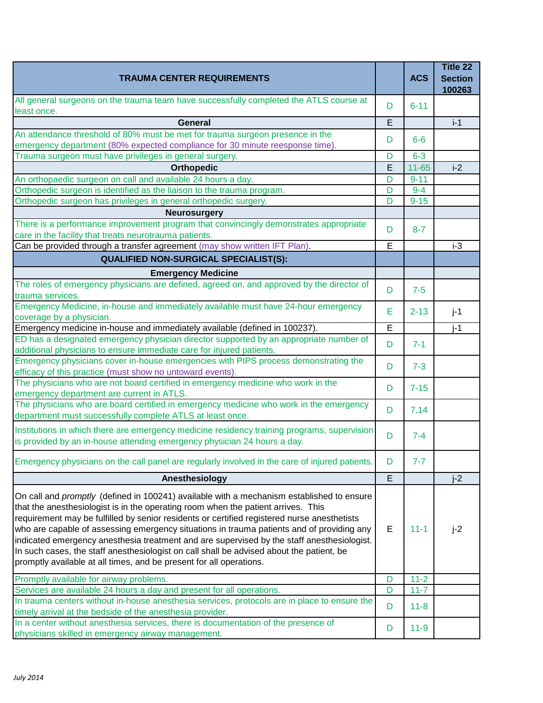| <b>TRAUMA CENTER REQUIREMENTS</b>                                                                                                                                                                                                                                                                                                                                                                                                                                                                                                                                                                                                           |   | <b>ACS</b> | Title 22<br><b>Section</b><br>100263 |
|---------------------------------------------------------------------------------------------------------------------------------------------------------------------------------------------------------------------------------------------------------------------------------------------------------------------------------------------------------------------------------------------------------------------------------------------------------------------------------------------------------------------------------------------------------------------------------------------------------------------------------------------|---|------------|--------------------------------------|
| All general surgeons on the trauma team have successfully completed the ATLS course at<br>least once.                                                                                                                                                                                                                                                                                                                                                                                                                                                                                                                                       | D | $6 - 11$   |                                      |
| <b>General</b>                                                                                                                                                                                                                                                                                                                                                                                                                                                                                                                                                                                                                              | E |            | $i-1$                                |
| An attendance threshold of 80% must be met for trauma surgeon presence in the                                                                                                                                                                                                                                                                                                                                                                                                                                                                                                                                                               | D | $6-6$      |                                      |
| emergency department (80% expected compliance for 30 minute reesponse time).                                                                                                                                                                                                                                                                                                                                                                                                                                                                                                                                                                |   |            |                                      |
| Trauma surgeon must have privileges in general surgery.                                                                                                                                                                                                                                                                                                                                                                                                                                                                                                                                                                                     | D | $6 - 3$    |                                      |
| <b>Orthopedic</b>                                                                                                                                                                                                                                                                                                                                                                                                                                                                                                                                                                                                                           | E | $11 - 65$  | $i-2$                                |
| An orthopaedic surgeon on call and available 24 hours a day.                                                                                                                                                                                                                                                                                                                                                                                                                                                                                                                                                                                | D | $9 - 11$   |                                      |
| Orthopedic surgeon is identified as the liaison to the trauma program.                                                                                                                                                                                                                                                                                                                                                                                                                                                                                                                                                                      | D | $9 - 4$    |                                      |
| Orthopedic surgeon has privileges in general orthopedic surgery.                                                                                                                                                                                                                                                                                                                                                                                                                                                                                                                                                                            | D | $9 - 15$   |                                      |
| <b>Neurosurgery</b>                                                                                                                                                                                                                                                                                                                                                                                                                                                                                                                                                                                                                         |   |            |                                      |
| There is a performance improvement program that convincingly demonstrates appropriate<br>care in the facility that treats neurotrauma patients.                                                                                                                                                                                                                                                                                                                                                                                                                                                                                             | D | $8 - 7$    |                                      |
| Can be provided through a transfer agreement (may show written IFT Plan).                                                                                                                                                                                                                                                                                                                                                                                                                                                                                                                                                                   | Ē |            | $i-3$                                |
| <b>QUALIFIED NON-SURGICAL SPECIALIST(S):</b>                                                                                                                                                                                                                                                                                                                                                                                                                                                                                                                                                                                                |   |            |                                      |
| <b>Emergency Medicine</b>                                                                                                                                                                                                                                                                                                                                                                                                                                                                                                                                                                                                                   |   |            |                                      |
| The roles of emergency physicians are defined, agreed on, and approved by the director of<br>trauma services.                                                                                                                                                                                                                                                                                                                                                                                                                                                                                                                               | D | $7 - 5$    |                                      |
| Emergency Medicine, in-house and immediately available must have 24-hour emergency<br>coverage by a physician.                                                                                                                                                                                                                                                                                                                                                                                                                                                                                                                              | E | $2 - 13$   | $j-1$                                |
| Emergency medicine in-house and immediately available (defined in 100237).                                                                                                                                                                                                                                                                                                                                                                                                                                                                                                                                                                  | Ē |            | $i-1$                                |
| ED has a designated emergency physician director supported by an appropriate number of                                                                                                                                                                                                                                                                                                                                                                                                                                                                                                                                                      |   |            |                                      |
| additional physicians to ensure immediate care for injured patients.                                                                                                                                                                                                                                                                                                                                                                                                                                                                                                                                                                        | D | $7 - 1$    |                                      |
| Emergency physicians cover in-house emergencies with PIPS process demonstrating the<br>efficacy of this practice (must show no untoward events).                                                                                                                                                                                                                                                                                                                                                                                                                                                                                            | D | $7 - 3$    |                                      |
| The physicians who are not board certified in emergency medicine who work in the<br>emergency department are current in ATLS.                                                                                                                                                                                                                                                                                                                                                                                                                                                                                                               | D | $7 - 15$   |                                      |
| The physicians who are board certified in emergency medicine who work in the emergency<br>department must successfully complete ATLS at least once.                                                                                                                                                                                                                                                                                                                                                                                                                                                                                         | D | 7.14       |                                      |
| Institutions in which there are emergency medicine residency training programs, supervision<br>is provided by an in-house attending emergency physician 24 hours a day.                                                                                                                                                                                                                                                                                                                                                                                                                                                                     | D | $7 - 4$    |                                      |
| Emergency physicians on the call panel are regularly involved in the care of injured patients.                                                                                                                                                                                                                                                                                                                                                                                                                                                                                                                                              | D | $7 - 7$    |                                      |
| Anesthesiology                                                                                                                                                                                                                                                                                                                                                                                                                                                                                                                                                                                                                              | E |            | $i-2$                                |
| On call and promptly (defined in 100241) available with a mechanism established to ensure<br>that the anesthesiologist is in the operating room when the patient arrives. This<br>requirement may be fulfilled by senior residents or certified registered nurse anesthetists<br>who are capable of assessing emergency situations in trauma patients and of providing any<br>indicated emergency anesthesia treatment and are supervised by the staff anesthesiologist.<br>In such cases, the staff anesthesiologist on call shall be advised about the patient, be<br>promptly available at all times, and be present for all operations. | Е | $11 - 1$   | $j-2$                                |
| Promptly available for airway problems.                                                                                                                                                                                                                                                                                                                                                                                                                                                                                                                                                                                                     | D | $11-2$     |                                      |
| Services are available 24 hours a day and present for all operations.                                                                                                                                                                                                                                                                                                                                                                                                                                                                                                                                                                       | D | $11 - 7$   |                                      |
| In trauma centers without in-house anesthesia services, protocols are in place to ensure the<br>timely arrival at the bedside of the anesthesia provider.                                                                                                                                                                                                                                                                                                                                                                                                                                                                                   | D | $11 - 8$   |                                      |
| In a center without anesthesia services, there is documentation of the presence of<br>physicians skilled in emergency airway management.                                                                                                                                                                                                                                                                                                                                                                                                                                                                                                    | D | $11 - 9$   |                                      |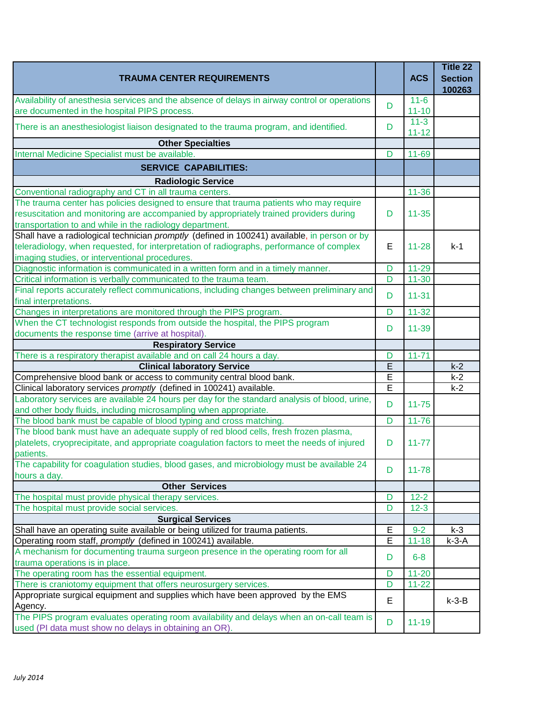| <b>TRAUMA CENTER REQUIREMENTS</b>                                                                                                                   |   | <b>ACS</b>            | Title 22<br><b>Section</b><br>100263 |
|-----------------------------------------------------------------------------------------------------------------------------------------------------|---|-----------------------|--------------------------------------|
| Availability of anesthesia services and the absence of delays in airway control or operations<br>are documented in the hospital PIPS process.       | D | $11 - 6$<br>$11 - 10$ |                                      |
| There is an anesthesiologist liaison designated to the trauma program, and identified.                                                              | D | $11 - 3$<br>$11 - 12$ |                                      |
| <b>Other Specialties</b>                                                                                                                            |   |                       |                                      |
| Internal Medicine Specialist must be available.                                                                                                     | D | $11 - 69$             |                                      |
| <b>SERVICE CAPABILITIES:</b>                                                                                                                        |   |                       |                                      |
| <b>Radiologic Service</b>                                                                                                                           |   |                       |                                      |
| Conventional radiography and CT in all trauma centers.                                                                                              |   | $11 - 36$             |                                      |
| The trauma center has policies designed to ensure that trauma patients who may require                                                              |   |                       |                                      |
| resuscitation and monitoring are accompanied by appropriately trained providers during<br>transportation to and while in the radiology department.  | D | $11 - 35$             |                                      |
| Shall have a radiological technician promptly (defined in 100241) available, in person or by                                                        |   |                       |                                      |
| teleradiology, when requested, for interpretation of radiographs, performance of complex                                                            | E | $11 - 28$             | $k-1$                                |
| imaging studies, or interventional procedures.                                                                                                      |   |                       |                                      |
| Diagnostic information is communicated in a written form and in a timely manner.                                                                    | D | $11 - 29$             |                                      |
| Critical information is verbally communicated to the trauma team.                                                                                   | D | $11 - 30$             |                                      |
| Final reports accurately reflect communications, including changes between preliminary and<br>final interpretations.                                | D | $11 - 31$             |                                      |
| Changes in interpretations are monitored through the PIPS program.                                                                                  | D | $11 - 32$             |                                      |
| When the CT technologist responds from outside the hospital, the PIPS program                                                                       | D | $11 - 39$             |                                      |
| documents the response time (arrive at hospital).<br><b>Respiratory Service</b>                                                                     |   |                       |                                      |
| There is a respiratory therapist available and on call 24 hours a day.                                                                              | D | $11 - 71$             |                                      |
| <b>Clinical laboratory Service</b>                                                                                                                  | Ē |                       | $k-2$                                |
| Comprehensive blood bank or access to community central blood bank.                                                                                 | E |                       | $k-2$                                |
| Clinical laboratory services promptly (defined in 100241) available.                                                                                | E |                       | $k-2$                                |
| Laboratory services are available 24 hours per day for the standard analysis of blood, urine,                                                       |   |                       |                                      |
| and other body fluids, including microsampling when appropriate.                                                                                    | D | $11 - 75$             |                                      |
| The blood bank must be capable of blood typing and cross matching.                                                                                  | D | $11 - 76$             |                                      |
| The blood bank must have an adequate supply of red blood cells, fresh frozen plasma,                                                                |   |                       |                                      |
| platelets, cryoprecipitate, and appropriate coagulation factors to meet the needs of injured<br>patients.                                           | D | $11 - 77$             |                                      |
| The capability for coagulation studies, blood gases, and microbiology must be available 24<br>hours a day.                                          | D | $11 - 78$             |                                      |
| <b>Other Services</b>                                                                                                                               |   |                       |                                      |
| The hospital must provide physical therapy services.                                                                                                | D | $12 - 2$              |                                      |
| The hospital must provide social services.                                                                                                          | D | $12 - 3$              |                                      |
| <b>Surgical Services</b>                                                                                                                            |   |                       |                                      |
| Shall have an operating suite available or being utilized for trauma patients.                                                                      | E | $9 - 2$               | $k-3$                                |
| Operating room staff, promptly (defined in 100241) available.                                                                                       | E | $11 - 18$             | $k-3-A$                              |
| A mechanism for documenting trauma surgeon presence in the operating room for all<br>trauma operations is in place.                                 | D | $6 - 8$               |                                      |
| The operating room has the essential equipment.                                                                                                     | D | $11 - 20$             |                                      |
| There is craniotomy equipment that offers neurosurgery services.                                                                                    | D | $11 - 22$             |                                      |
| Appropriate surgical equipment and supplies which have been approved by the EMS                                                                     | Е |                       | $k-3-B$                              |
| Agency.                                                                                                                                             |   |                       |                                      |
| The PIPS program evaluates operating room availability and delays when an on-call team is<br>used (PI data must show no delays in obtaining an OR). | D | $11 - 19$             |                                      |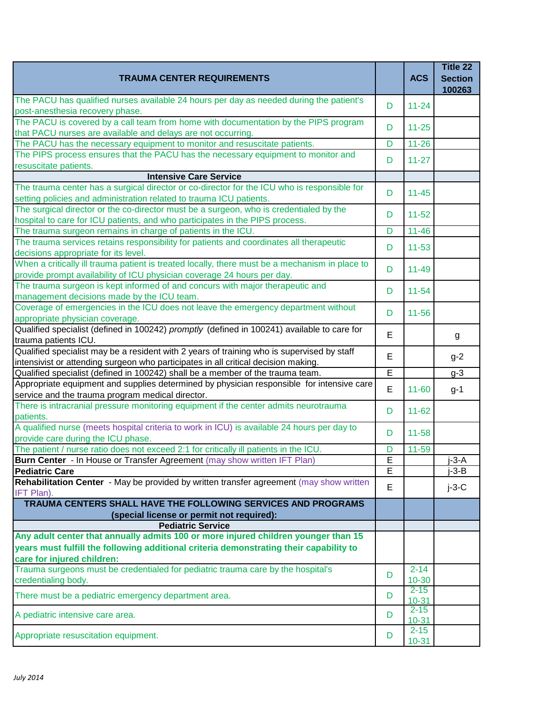| <b>TRAUMA CENTER REQUIREMENTS</b>                                                                                                                                                |        | <b>ACS</b>            | Title 22<br><b>Section</b><br>100263 |
|----------------------------------------------------------------------------------------------------------------------------------------------------------------------------------|--------|-----------------------|--------------------------------------|
| The PACU has qualified nurses available 24 hours per day as needed during the patient's<br>post-anesthesia recovery phase.                                                       | D      | $11 - 24$             |                                      |
| The PACU is covered by a call team from home with documentation by the PIPS program<br>that PACU nurses are available and delays are not occurring.                              | D      | $11 - 25$             |                                      |
| The PACU has the necessary equipment to monitor and resuscitate patients.                                                                                                        | D      | $11 - 26$             |                                      |
| The PIPS process ensures that the PACU has the necessary equipment to monitor and<br>resuscitate patients.                                                                       | D      | $11 - 27$             |                                      |
| <b>Intensive Care Service</b>                                                                                                                                                    |        |                       |                                      |
| The trauma center has a surgical director or co-director for the ICU who is responsible for<br>setting policies and administration related to trauma ICU patients.               | D      | $11 - 45$             |                                      |
| The surgical director or the co-director must be a surgeon, who is credentialed by the<br>hospital to care for ICU patients, and who participates in the PIPS process.           | D      | $11 - 52$             |                                      |
| The trauma surgeon remains in charge of patients in the ICU.                                                                                                                     | D      | $11 - 46$             |                                      |
| The trauma services retains responsibility for patients and coordinates all therapeutic<br>decisions appropriate for its level.                                                  | D      | $11 - 53$             |                                      |
| When a critically ill trauma patient is treated locally, there must be a mechanism in place to<br>provide prompt availability of ICU physician coverage 24 hours per day.        | D      | $11 - 49$             |                                      |
| The trauma surgeon is kept informed of and concurs with major therapeutic and<br>management decisions made by the ICU team.                                                      | D      | $11 - 54$             |                                      |
| Coverage of emergencies in the ICU does not leave the emergency department without<br>appropriate physician coverage.                                                            | D      | $11 - 56$             |                                      |
| Qualified specialist (defined in 100242) promptly (defined in 100241) available to care for<br>trauma patients ICU.                                                              | E      |                       | g                                    |
| Qualified specialist may be a resident with 2 years of training who is supervised by staff<br>intensivist or attending surgeon who participates in all critical decision making. | E      |                       | $g-2$                                |
| Qualified specialist (defined in 100242) shall be a member of the trauma team.                                                                                                   | E      |                       | $g-3$                                |
| Appropriate equipment and supplies determined by physician responsible for intensive care<br>service and the trauma program medical director.                                    | E      | $11 - 60$             | $g-1$                                |
| There is intracranial pressure monitoring equipment if the center admits neurotrauma<br>patients.                                                                                | D      | $11 - 62$             |                                      |
| A qualified nurse (meets hospital criteria to work in ICU) is available 24 hours per day to<br>provide care during the ICU phase.                                                | D      | $11 - 58$             |                                      |
| The patient / nurse ratio does not exceed 2:1 for critically ill patients in the ICU.                                                                                            | D      | $11 - 59$             |                                      |
| Burn Center - In House or Transfer Agreement (may show written IFT Plan)<br><b>Pediatric Care</b>                                                                                | E<br>Ē |                       | $j-3-A$<br>$-3 - B$                  |
| Rehabilitation Center - May be provided by written transfer agreement (may show written<br>IFT Plan).                                                                            | E      |                       | $j-3-C$                              |
| TRAUMA CENTERS SHALL HAVE THE FOLLOWING SERVICES AND PROGRAMS<br>(special license or permit not required):                                                                       |        |                       |                                      |
| <b>Pediatric Service</b>                                                                                                                                                         |        |                       |                                      |
| Any adult center that annually admits 100 or more injured children younger than 15                                                                                               |        |                       |                                      |
| years must fulfill the following additional criteria demonstrating their capability to<br>care for injured children:                                                             |        |                       |                                      |
| Trauma surgeons must be credentialed for pediatric trauma care by the hospital's<br>credentialing body.                                                                          | D      | $2 - 14$<br>$10 - 30$ |                                      |
| There must be a pediatric emergency department area.                                                                                                                             | D      | $2 - 15$<br>$10 - 31$ |                                      |
| A pediatric intensive care area.                                                                                                                                                 | D      | $2 - 15$<br>$10 - 31$ |                                      |
| Appropriate resuscitation equipment.                                                                                                                                             | D      | $2 - 15$<br>$10-31$   |                                      |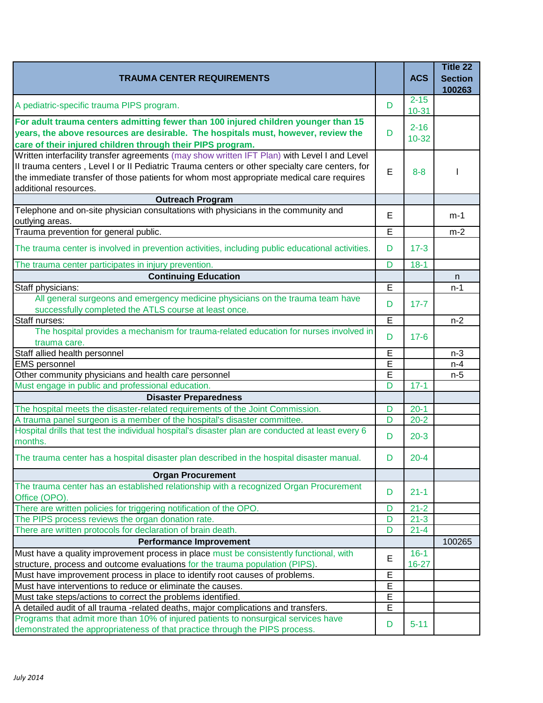| <b>TRAUMA CENTER REQUIREMENTS</b>                                                                                                                                                                                                                                                                                   |                         | <b>ACS</b>            | Title 22<br><b>Section</b><br>100263 |
|---------------------------------------------------------------------------------------------------------------------------------------------------------------------------------------------------------------------------------------------------------------------------------------------------------------------|-------------------------|-----------------------|--------------------------------------|
| A pediatric-specific trauma PIPS program.                                                                                                                                                                                                                                                                           | D                       | $2 - 15$<br>$10 - 31$ |                                      |
| For adult trauma centers admitting fewer than 100 injured children younger than 15<br>years, the above resources are desirable. The hospitals must, however, review the<br>care of their injured children through their PIPS program.                                                                               | D                       | $2 - 16$<br>$10 - 32$ |                                      |
| Written interfacility transfer agreements (may show written IFT Plan) with Level I and Level<br>Il trauma centers, Level I or II Pediatric Trauma centers or other specialty care centers, for<br>the immediate transfer of those patients for whom most appropriate medical care requires<br>additional resources. | E                       | $8 - 8$               |                                      |
| <b>Outreach Program</b>                                                                                                                                                                                                                                                                                             |                         |                       |                                      |
| Telephone and on-site physician consultations with physicians in the community and<br>outlying areas.                                                                                                                                                                                                               | E                       |                       | $m-1$                                |
| Trauma prevention for general public.                                                                                                                                                                                                                                                                               | E                       |                       | $m-2$                                |
| The trauma center is involved in prevention activities, including public educational activities.                                                                                                                                                                                                                    | D                       | $17 - 3$              |                                      |
| The trauma center participates in injury prevention.                                                                                                                                                                                                                                                                | D                       | $18-1$                |                                      |
| <b>Continuing Education</b>                                                                                                                                                                                                                                                                                         |                         |                       | n                                    |
| Staff physicians:                                                                                                                                                                                                                                                                                                   | E                       |                       | $n-1$                                |
| All general surgeons and emergency medicine physicians on the trauma team have<br>successfully completed the ATLS course at least once.                                                                                                                                                                             | D                       | $17 - 7$              |                                      |
| Staff nurses:                                                                                                                                                                                                                                                                                                       | Ē                       |                       | $n-2$                                |
| The hospital provides a mechanism for trauma-related education for nurses involved in<br>trauma care.                                                                                                                                                                                                               | D                       | $17-6$                |                                      |
| Staff allied health personnel                                                                                                                                                                                                                                                                                       | E                       |                       | $n-3$                                |
| <b>EMS</b> personnel                                                                                                                                                                                                                                                                                                | E                       |                       | $n-4$                                |
| Other community physicians and health care personnel                                                                                                                                                                                                                                                                | E                       |                       | $n-5$                                |
| Must engage in public and professional education.                                                                                                                                                                                                                                                                   | $\overline{\mathsf{D}}$ | $17 - 1$              |                                      |
| <b>Disaster Preparedness</b>                                                                                                                                                                                                                                                                                        |                         |                       |                                      |
| The hospital meets the disaster-related requirements of the Joint Commission.                                                                                                                                                                                                                                       | D                       | $20-1$                |                                      |
| A trauma panel surgeon is a member of the hospital's disaster committee.                                                                                                                                                                                                                                            | D                       | $20 - 2$              |                                      |
| Hospital drills that test the individual hospital's disaster plan are conducted at least every 6<br>months.                                                                                                                                                                                                         | D                       | $20-3$                |                                      |
| The trauma center has a hospital disaster plan described in the hospital disaster manual.                                                                                                                                                                                                                           | D.                      | $20 - 4$              |                                      |
| <b>Organ Procurement</b>                                                                                                                                                                                                                                                                                            |                         |                       |                                      |
| The trauma center has an established relationship with a recognized Organ Procurement<br>Office (OPO).                                                                                                                                                                                                              | D                       | $21 - 1$              |                                      |
| There are written policies for triggering notification of the OPO.                                                                                                                                                                                                                                                  | D                       | $21 - 2$              |                                      |
| The PIPS process reviews the organ donation rate.                                                                                                                                                                                                                                                                   | D                       | $21 - 3$              |                                      |
| There are written protocols for declaration of brain death.                                                                                                                                                                                                                                                         | D                       | $21 - 4$              |                                      |
| <b>Performance Improvement</b>                                                                                                                                                                                                                                                                                      |                         |                       | 100265                               |
| Must have a quality improvement process in place must be consistently functional, with<br>structure, process and outcome evaluations for the trauma population (PIPS).                                                                                                                                              | E                       | $16 - 1$<br>$16 - 27$ |                                      |
| Must have improvement process in place to identify root causes of problems.                                                                                                                                                                                                                                         | E                       |                       |                                      |
| Must have interventions to reduce or eliminate the causes.                                                                                                                                                                                                                                                          | E                       |                       |                                      |
| Must take steps/actions to correct the problems identified.                                                                                                                                                                                                                                                         | E                       |                       |                                      |
| A detailed audit of all trauma -related deaths, major complications and transfers.                                                                                                                                                                                                                                  | E                       |                       |                                      |
| Programs that admit more than 10% of injured patients to nonsurgical services have<br>demonstrated the appropriateness of that practice through the PIPS process.                                                                                                                                                   | D                       | $5 - 11$              |                                      |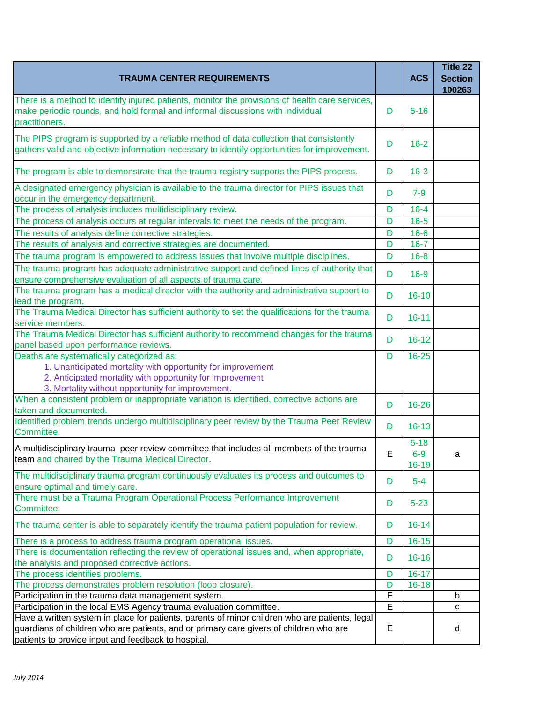| <b>TRAUMA CENTER REQUIREMENTS</b>                                                                                                                                                                                                               |   | <b>ACS</b>                     | Title 22<br><b>Section</b><br>100263 |
|-------------------------------------------------------------------------------------------------------------------------------------------------------------------------------------------------------------------------------------------------|---|--------------------------------|--------------------------------------|
| There is a method to identify injured patients, monitor the provisions of health care services,<br>make periodic rounds, and hold formal and informal discussions with individual<br>practitioners.                                             | D | $5 - 16$                       |                                      |
| The PIPS program is supported by a reliable method of data collection that consistently<br>gathers valid and objective information necessary to identify opportunities for improvement.                                                         | D | $16 - 2$                       |                                      |
| The program is able to demonstrate that the trauma registry supports the PIPS process.                                                                                                                                                          | D | $16 - 3$                       |                                      |
| A designated emergency physician is available to the trauma director for PIPS issues that<br>occur in the emergency department.                                                                                                                 | D | $7 - 9$                        |                                      |
| The process of analysis includes multidisciplinary review.                                                                                                                                                                                      | D | $16 - 4$                       |                                      |
| The process of analysis occurs at regular intervals to meet the needs of the program.                                                                                                                                                           | D | $16 - 5$                       |                                      |
| The results of analysis define corrective strategies.                                                                                                                                                                                           | D | $16 - 6$                       |                                      |
| The results of analysis and corrective strategies are documented.                                                                                                                                                                               | D | $16 - 7$                       |                                      |
| The trauma program is empowered to address issues that involve multiple disciplines.                                                                                                                                                            | D | $16 - 8$                       |                                      |
| The trauma program has adequate administrative support and defined lines of authority that                                                                                                                                                      | D | $16-9$                         |                                      |
| ensure comprehensive evaluation of all aspects of trauma care.<br>The trauma program has a medical director with the authority and administrative support to<br>lead the program.                                                               | D | $16 - 10$                      |                                      |
| The Trauma Medical Director has sufficient authority to set the qualifications for the trauma<br>service members.                                                                                                                               | D | $16 - 11$                      |                                      |
| The Trauma Medical Director has sufficient authority to recommend changes for the trauma<br>panel based upon performance reviews.                                                                                                               | D | $16 - 12$                      |                                      |
| Deaths are systematically categorized as:<br>1. Unanticipated mortality with opportunity for improvement<br>2. Anticipated mortality with opportunity for improvement<br>3. Mortality without opportunity for improvement.                      | D | $16 - 25$                      |                                      |
| When a consistent problem or inappropriate variation is identified, corrective actions are<br>taken and documented.                                                                                                                             | D | 16-26                          |                                      |
| Identified problem trends undergo multidisciplinary peer review by the Trauma Peer Review<br>Committee.                                                                                                                                         | D | $16 - 13$                      |                                      |
| A multidisciplinary trauma peer review committee that includes all members of the trauma<br>team and chaired by the Trauma Medical Director.                                                                                                    | E | $5 - 18$<br>$6-9$<br>$16 - 19$ | a                                    |
| The multidisciplinary trauma program continuously evaluates its process and outcomes to<br>ensure optimal and timely care.                                                                                                                      | D | $5 - 4$                        |                                      |
| There must be a Trauma Program Operational Process Performance Improvement<br>Committee.                                                                                                                                                        | D | $5 - 23$                       |                                      |
| The trauma center is able to separately identify the trauma patient population for review.                                                                                                                                                      | D | $16 - 14$                      |                                      |
| There is a process to address trauma program operational issues.                                                                                                                                                                                | D | $16 - 15$                      |                                      |
| There is documentation reflecting the review of operational issues and, when appropriate,<br>the analysis and proposed corrective actions.                                                                                                      | D | $16 - 16$                      |                                      |
| The process identifies problems.                                                                                                                                                                                                                | D | $16 - 17$                      |                                      |
| The process demonstrates problem resolution (loop closure).                                                                                                                                                                                     | D | $16 - 18$                      |                                      |
| Participation in the trauma data management system.                                                                                                                                                                                             | E |                                | b                                    |
| Participation in the local EMS Agency trauma evaluation committee.                                                                                                                                                                              | E |                                | $\mathbf{C}$                         |
| Have a written system in place for patients, parents of minor children who are patients, legal<br>guardians of children who are patients, and or primary care givers of children who are<br>patients to provide input and feedback to hospital. | Е |                                | d                                    |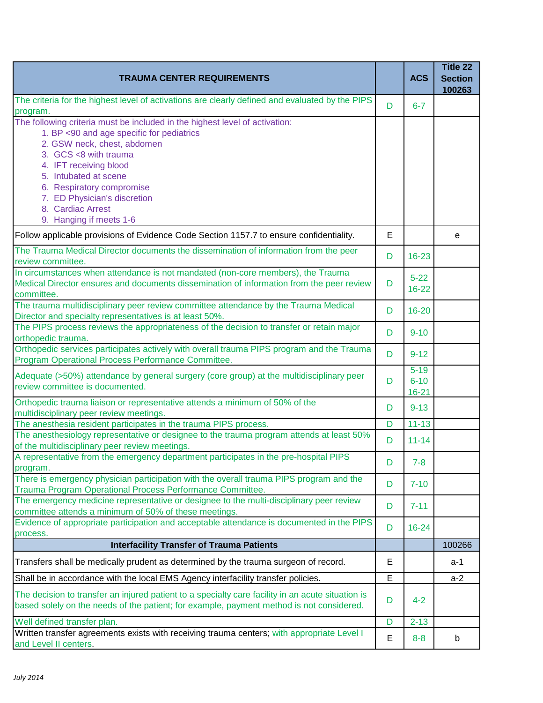| <b>TRAUMA CENTER REQUIREMENTS</b>                                                                                                                                                                                                                                                                            |   | <b>ACS</b>                        | Title 22<br><b>Section</b><br>100263 |
|--------------------------------------------------------------------------------------------------------------------------------------------------------------------------------------------------------------------------------------------------------------------------------------------------------------|---|-----------------------------------|--------------------------------------|
| The criteria for the highest level of activations are clearly defined and evaluated by the PIPS                                                                                                                                                                                                              | D | $6 - 7$                           |                                      |
| program.<br>The following criteria must be included in the highest level of activation:<br>1. BP <90 and age specific for pediatrics<br>2. GSW neck, chest, abdomen<br>3. GCS <8 with trauma<br>4. IFT receiving blood<br>5. Intubated at scene<br>6. Respiratory compromise<br>7. ED Physician's discretion |   |                                   |                                      |
| 8. Cardiac Arrest<br>9. Hanging if meets 1-6                                                                                                                                                                                                                                                                 |   |                                   |                                      |
| Follow applicable provisions of Evidence Code Section 1157.7 to ensure confidentiality.                                                                                                                                                                                                                      | E |                                   | e                                    |
| The Trauma Medical Director documents the dissemination of information from the peer<br>review committee.                                                                                                                                                                                                    | D | $16 - 23$                         |                                      |
| In circumstances when attendance is not mandated (non-core members), the Trauma<br>Medical Director ensures and documents dissemination of information from the peer review<br>committee.                                                                                                                    | D | $5 - 22$<br>$16 - 22$             |                                      |
| The trauma multidisciplinary peer review committee attendance by the Trauma Medical<br>Director and specialty representatives is at least 50%.                                                                                                                                                               | D | $16 - 20$                         |                                      |
| The PIPS process reviews the appropriateness of the decision to transfer or retain major<br>orthopedic trauma.                                                                                                                                                                                               | D | $9 - 10$                          |                                      |
| Orthopedic services participates actively with overall trauma PIPS program and the Trauma<br>Program Operational Process Performance Committee.                                                                                                                                                              | D | $9 - 12$                          |                                      |
| Adequate (>50%) attendance by general surgery (core group) at the multidisciplinary peer<br>review committee is documented.                                                                                                                                                                                  | D | $5 - 19$<br>$6 - 10$<br>$16 - 21$ |                                      |
| Orthopedic trauma liaison or representative attends a minimum of 50% of the<br>multidisciplinary peer review meetings.                                                                                                                                                                                       | D | $9 - 13$                          |                                      |
| The anesthesia resident participates in the trauma PIPS process.                                                                                                                                                                                                                                             | D | $11 - 13$                         |                                      |
| The anesthesiology representative or designee to the trauma program attends at least 50%<br>of the multidisciplinary peer review meetings.                                                                                                                                                                   | D | $11 - 14$                         |                                      |
| A representative from the emergency department participates in the pre-hospital PIPS<br>program.                                                                                                                                                                                                             | D | 7-8                               |                                      |
| There is emergency physician participation with the overall trauma PIPS program and the<br>Trauma Program Operational Process Performance Committee.                                                                                                                                                         | D | $7 - 10$                          |                                      |
| The emergency medicine representative or designee to the multi-disciplinary peer review<br>committee attends a minimum of 50% of these meetings.                                                                                                                                                             | D | $7 - 11$                          |                                      |
| Evidence of appropriate participation and acceptable attendance is documented in the PIPS<br>process.                                                                                                                                                                                                        | D | $16 - 24$                         |                                      |
| <b>Interfacility Transfer of Trauma Patients</b>                                                                                                                                                                                                                                                             |   |                                   | 100266                               |
| Transfers shall be medically prudent as determined by the trauma surgeon of record.                                                                                                                                                                                                                          | Е |                                   | a-1                                  |
| Shall be in accordance with the local EMS Agency interfacility transfer policies.                                                                                                                                                                                                                            | E |                                   | $a-2$                                |
| The decision to transfer an injured patient to a specialty care facility in an acute situation is<br>based solely on the needs of the patient; for example, payment method is not considered.                                                                                                                | D | $4 - 2$                           |                                      |
| Well defined transfer plan.                                                                                                                                                                                                                                                                                  | D | $2 - 13$                          |                                      |
| Written transfer agreements exists with receiving trauma centers; with appropriate Level I<br>and Level II centers.                                                                                                                                                                                          | Е | $8 - 8$                           | b                                    |